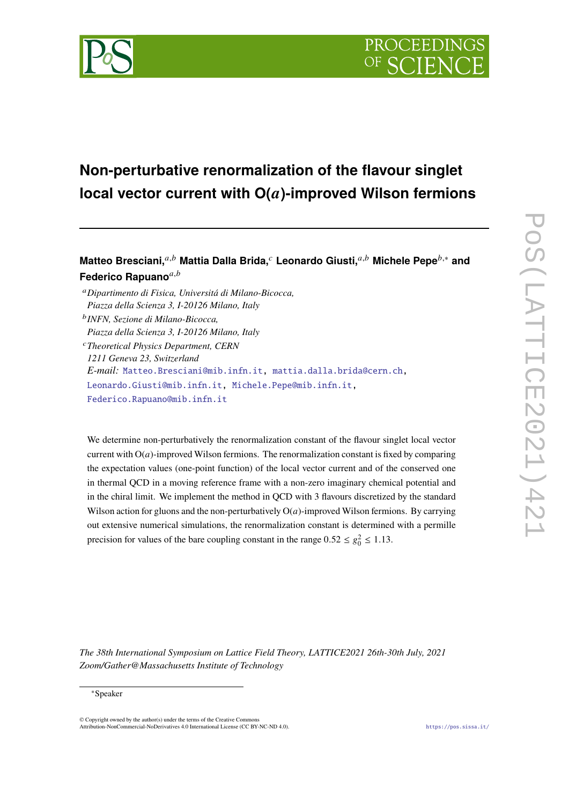



# **Non-perturbative renormalization of the flavour singlet** local vector current with  $O(a)$ -improved Wilson fermions

**Matteo Bresciani,**𝑎,𝑏 **Mattia Dalla Brida,**<sup>𝑐</sup> **Leonardo Giusti,**𝑎,𝑏 **Michele Pepe**𝑏,<sup>∗</sup> **and** Federico Rapuano<sup>a,b</sup>

<sup>𝑎</sup>*Dipartimento di Fisica, Universitá di Milano-Bicocca, Piazza della Scienza 3, I-20126 Milano, Italy* 𝑏 *INFN, Sezione di Milano-Bicocca,*

*Piazza della Scienza 3, I-20126 Milano, Italy*

<sup>𝑐</sup>*Theoretical Physics Department, CERN 1211 Geneva 23, Switzerland E-mail:* [Matteo.Bresciani@mib.infn.it,](mailto:Matteo.Bresciani@mib.infn.it) [mattia.dalla.brida@cern.ch,](mailto:mattia.dalla.brida@cern.ch) [Leonardo.Giusti@mib.infn.it,](mailto:Leonardo.Giusti@mib.infn.it) [Michele.Pepe@mib.infn.it,](mailto:Michele.Pepe@mib.infn.it) [Federico.Rapuano@mib.infn.it](mailto:Federico.Rapuano@mib.infn.it)

We determine non-perturbatively the renormalization constant of the flavour singlet local vector current with  $O(a)$ -improved Wilson fermions. The renormalization constant is fixed by comparing the expectation values (one-point function) of the local vector current and of the conserved one in thermal QCD in a moving reference frame with a non-zero imaginary chemical potential and in the chiral limit. We implement the method in QCD with 3 flavours discretized by the standard Wilson action for gluons and the non-perturbatively  $O(a)$ -improved Wilson fermions. By carrying out extensive numerical simulations, the renormalization constant is determined with a permille precision for values of the bare coupling constant in the range  $0.52 \le g_0^2 \le 1.13$ .

*The 38th International Symposium on Lattice Field Theory, LATTICE2021 26th-30th July, 2021 Zoom/Gather@Massachusetts Institute of Technology*

<sup>∗</sup>Speaker

 $\odot$  Copyright owned by the author(s) under the terms of the Creative Common Attribution-NonCommercial-NoDerivatives 4.0 International License (CC BY-NC-ND 4.0). <https://pos.sissa.it/>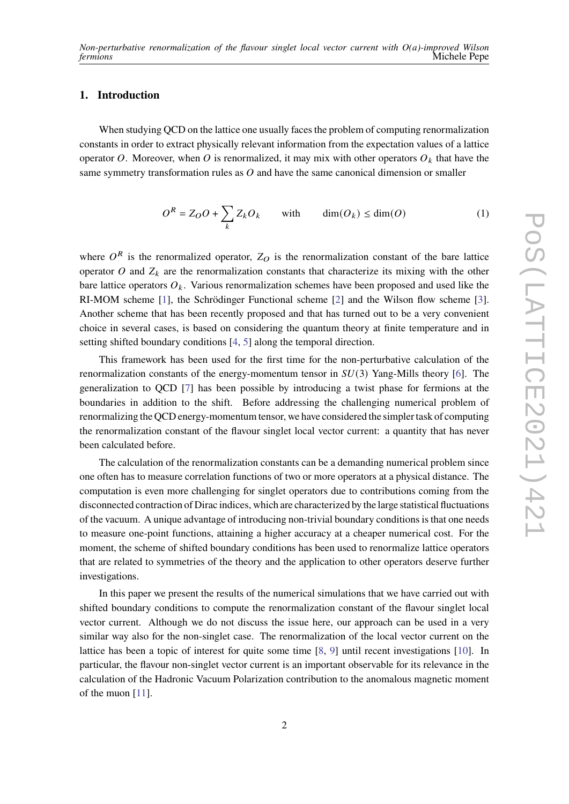## **1. Introduction**

When studying QCD on the lattice one usually faces the problem of computing renormalization constants in order to extract physically relevant information from the expectation values of a lattice operator O. Moreover, when O is renormalized, it may mix with other operators  $O_k$  that have the same symmetry transformation rules as  $O$  and have the same canonical dimension or smaller

$$
O^R = Z_O O + \sum_{k} Z_k O_k \quad \text{with} \quad \dim(O_k) \le \dim(O)
$$
 (1)

where  $O<sup>R</sup>$  is the renormalized operator,  $Z_O$  is the renormalization constant of the bare lattice operator  $O$  and  $Z_k$  are the renormalization constants that characterize its mixing with the other bare lattice operators  $O_k$ . Various renormalization schemes have been proposed and used like the RI-MOM scheme [\[1\]](#page-6-0), the Schrödinger Functional scheme [\[2\]](#page-6-1) and the Wilson flow scheme [\[3\]](#page-6-2). Another scheme that has been recently proposed and that has turned out to be a very convenient choice in several cases, is based on considering the quantum theory at finite temperature and in setting shifted boundary conditions [\[4,](#page-7-0) [5\]](#page-7-1) along the temporal direction.

This framework has been used for the first time for the non-perturbative calculation of the renormalization constants of the energy-momentum tensor in  $SU(3)$  Yang-Mills theory [\[6\]](#page-7-2). The generalization to QCD [\[7\]](#page-7-3) has been possible by introducing a twist phase for fermions at the boundaries in addition to the shift. Before addressing the challenging numerical problem of renormalizing the QCD energy-momentum tensor, we have considered the simpler task of computing the renormalization constant of the flavour singlet local vector current: a quantity that has never been calculated before.

The calculation of the renormalization constants can be a demanding numerical problem since one often has to measure correlation functions of two or more operators at a physical distance. The computation is even more challenging for singlet operators due to contributions coming from the disconnected contraction of Dirac indices, which are characterized by the large statistical fluctuations of the vacuum. A unique advantage of introducing non-trivial boundary conditions is that one needs to measure one-point functions, attaining a higher accuracy at a cheaper numerical cost. For the moment, the scheme of shifted boundary conditions has been used to renormalize lattice operators that are related to symmetries of the theory and the application to other operators deserve further investigations.

In this paper we present the results of the numerical simulations that we have carried out with shifted boundary conditions to compute the renormalization constant of the flavour singlet local vector current. Although we do not discuss the issue here, our approach can be used in a very similar way also for the non-singlet case. The renormalization of the local vector current on the lattice has been a topic of interest for quite some time [\[8,](#page-7-4) [9\]](#page-7-5) until recent investigations [\[10\]](#page-7-6). In particular, the flavour non-singlet vector current is an important observable for its relevance in the calculation of the Hadronic Vacuum Polarization contribution to the anomalous magnetic moment of the muon [\[11\]](#page-7-7).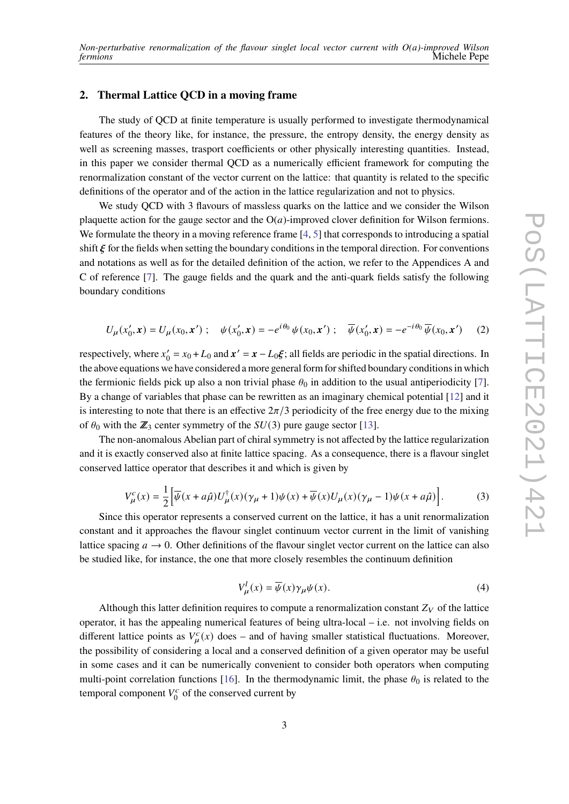## **2. Thermal Lattice QCD in a moving frame**

The study of QCD at finite temperature is usually performed to investigate thermodynamical features of the theory like, for instance, the pressure, the entropy density, the energy density as well as screening masses, trasport coefficients or other physically interesting quantities. Instead, in this paper we consider thermal QCD as a numerically efficient framework for computing the renormalization constant of the vector current on the lattice: that quantity is related to the specific definitions of the operator and of the action in the lattice regularization and not to physics.

We study OCD with 3 flavours of massless quarks on the lattice and we consider the Wilson plaquette action for the gauge sector and the  $O(a)$ -improved clover definition for Wilson fermions. We formulate the theory in a moving reference frame [\[4,](#page-7-0) [5\]](#page-7-1) that corresponds to introducing a spatial shift  $\xi$  for the fields when setting the boundary conditions in the temporal direction. For conventions and notations as well as for the detailed definition of the action, we refer to the Appendices A and C of reference [\[7\]](#page-7-3). The gauge fields and the quark and the anti-quark fields satisfy the following boundary conditions

$$
U_{\mu}(x'_0, \mathbf{x}) = U_{\mu}(x_0, \mathbf{x}') ; \quad \psi(x'_0, \mathbf{x}) = -e^{i\theta_0} \psi(x_0, \mathbf{x}') ; \quad \overline{\psi}(x'_0, \mathbf{x}) = -e^{-i\theta_0} \overline{\psi}(x_0, \mathbf{x}') \tag{2}
$$

respectively, where  $x'_0$  $\gamma'_0 = x_0 + L_0$  and  $\mathbf{x}' = \mathbf{x} - L_0 \xi$ ; all fields are periodic in the spatial directions. In the above equations we have considered a more general form for shifted boundary conditions in which the fermionic fields pick up also a non trivial phase  $\theta_0$  in addition to the usual antiperiodicity [\[7\]](#page-7-3). By a change of variables that phase can be rewritten as an imaginary chemical potential [\[12\]](#page-7-8) and it is interesting to note that there is an effective  $2\pi/3$  periodicity of the free energy due to the mixing of  $\theta_0$  with the  $\mathbb{Z}_3$  center symmetry of the  $SU(3)$  pure gauge sector [\[13\]](#page-7-9).

The non-anomalous Abelian part of chiral symmetry is not affected by the lattice regularization and it is exactly conserved also at finite lattice spacing. As a consequence, there is a flavour singlet conserved lattice operator that describes it and which is given by

<span id="page-2-0"></span>
$$
V_{\mu}^{c}(x) = \frac{1}{2} \Big[ \overline{\psi}(x + a\hat{\mu}) U_{\mu}^{\dagger}(x) (\gamma_{\mu} + 1) \psi(x) + \overline{\psi}(x) U_{\mu}(x) (\gamma_{\mu} - 1) \psi(x + a\hat{\mu}) \Big]. \tag{3}
$$

Since this operator represents a conserved current on the lattice, it has a unit renormalization constant and it approaches the flavour singlet continuum vector current in the limit of vanishing lattice spacing  $a \rightarrow 0$ . Other definitions of the flavour singlet vector current on the lattice can also be studied like, for instance, the one that more closely resembles the continuum definition

<span id="page-2-1"></span>
$$
V_{\mu}^{l}(x) = \overline{\psi}(x)\gamma_{\mu}\psi(x).
$$
 (4)

Although this latter definition requires to compute a renormalization constant  $Z_V$  of the lattice operator, it has the appealing numerical features of being ultra-local – i.e. not involving fields on different lattice points as  $V_{\mu}^{c}(x)$  does – and of having smaller statistical fluctuations. Moreover, the possibility of considering a local and a conserved definition of a given operator may be useful in some cases and it can be numerically convenient to consider both operators when computing multi-point correlation functions [\[16\]](#page-7-10). In the thermodynamic limit, the phase  $\theta_0$  is related to the temporal component  $V_0^c$  $\int_0^c$  of the conserved current by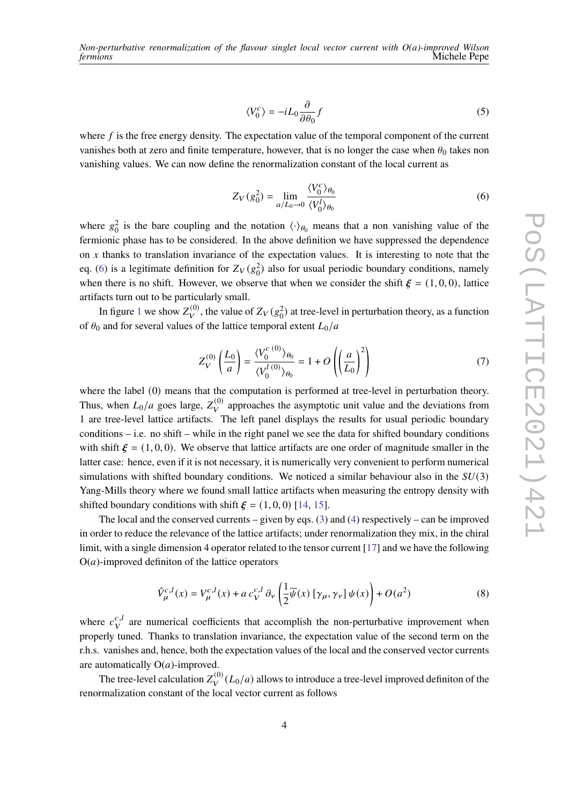$$
\langle V_0^c \rangle = -iL_0 \frac{\partial}{\partial \theta_0} f \tag{5}
$$

where  $f$  is the free energy density. The expectation value of the temporal component of the current vanishes both at zero and finite temperature, however, that is no longer the case when  $\theta_0$  takes non vanishing values. We can now define the renormalization constant of the local current as

<span id="page-3-0"></span>
$$
Z_V(g_0^2) = \lim_{a/L_0 \to 0} \frac{\langle V_0^c \rangle_{\theta_0}}{\langle V_0^l \rangle_{\theta_0}}
$$
(6)

where  $g_0^2$  is the bare coupling and the notation  $\langle \cdot \rangle_{\theta_0}$  means that a non vanishing value of the fermionic phase has to be considered. In the above definition we have suppressed the dependence on  $x$  thanks to translation invariance of the expectation values. It is interesting to note that the eq. [\(6\)](#page-3-0) is a legitimate definition for  $Z_V(g_0^2)$  also for usual periodic boundary conditions, namely when there is no shift. However, we observe that when we consider the shift  $\xi = (1, 0, 0)$ , lattice artifacts turn out to be particularly small.

In figure [1](#page-4-0) we show  $Z_V^{(0)}$ , the value of  $Z_V(g_0^2)$  at tree-level in perturbation theory, as a function of  $\theta_0$  and for several values of the lattice temporal extent  $L_0/a$ 

$$
Z_V^{(0)}\left(\frac{L_0}{a}\right) = \frac{\langle V_0^{c(0)} \rangle_{\theta_0}}{\langle V_0^{l(0)} \rangle_{\theta_0}} = 1 + O\left(\left(\frac{a}{L_0}\right)^2\right)
$$
(7)

where the label (0) means that the computation is performed at tree-level in perturbation theory. Thus, when  $L_0/a$  goes large,  $Z_V^{(0)}$  approaches the asymptotic unit value and the deviations from 1 are tree-level lattice artifacts. The left panel displays the results for usual periodic boundary conditions  $-i.e.$  no shift – while in the right panel we see the data for shifted boundary conditions with shift  $\xi = (1, 0, 0)$ . We observe that lattice artifacts are one order of magnitude smaller in the latter case: hence, even if it is not necessary, it is numerically very convenient to perform numerical simulations with shifted boundary conditions. We noticed a similar behaviour also in the  $SU(3)$ Yang-Mills theory where we found small lattice artifacts when measuring the entropy density with shifted boundary conditions with shift  $\xi = (1, 0, 0)$  [\[14,](#page-7-11) [15\]](#page-7-12).

The local and the conserved currents – given by eqs.  $(3)$  and  $(4)$  respectively – can be improved in order to reduce the relevance of the lattice artifacts; under renormalization they mix, in the chiral limit, with a single dimension 4 operator related to the tensor current [\[17\]](#page-7-13) and we have the following  $O(a)$ -improved definiton of the lattice operators

$$
\hat{V}_{\mu}^{c,l}(x) = V_{\mu}^{c,l}(x) + a c_V^{c,l} \partial_V \left( \frac{1}{2} \overline{\psi}(x) \left[ \gamma_{\mu}, \gamma_{\nu} \right] \psi(x) \right) + O(a^2)
$$
\n(8)

where  $c_V^{c,l}$  $\frac{c,t}{V}$  are numerical coefficients that accomplish the non-perturbative improvement when properly tuned. Thanks to translation invariance, the expectation value of the second term on the r.h.s. vanishes and, hence, both the expectation values of the local and the conserved vector currents are automatically  $O(a)$ -improved.

The tree-level calculation  $Z_V^{(0)}(L_0/a)$  allows to introduce a tree-level improved definiton of the renormalization constant of the local vector current as follows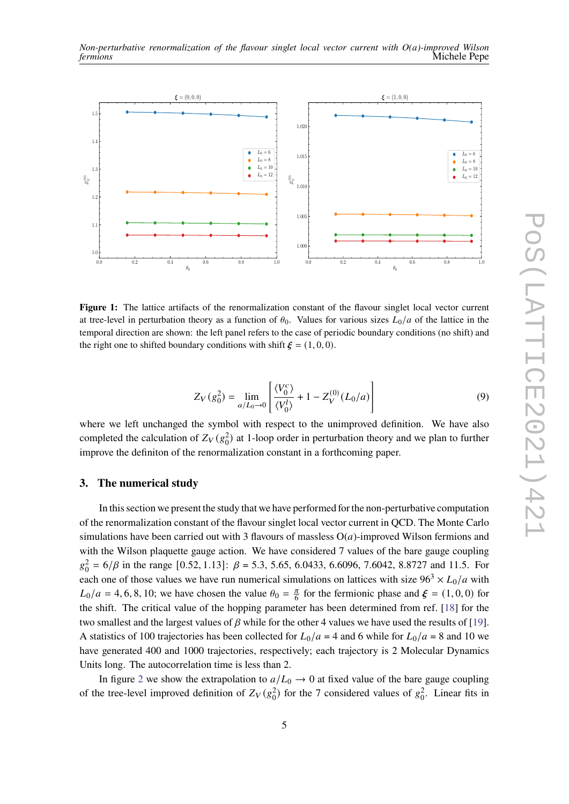

<span id="page-4-0"></span>

**Figure 1:** The lattice artifacts of the renormalization constant of the flavour singlet local vector current at tree-level in perturbation theory as a function of  $\theta_0$ . Values for various sizes  $L_0/a$  of the lattice in the temporal direction are shown: the left panel refers to the case of periodic boundary conditions (no shift) and the right one to shifted boundary conditions with shift  $\xi = (1, 0, 0)$ .

$$
Z_V(g_0^2) = \lim_{a/L_0 \to 0} \left[ \frac{\langle V_0^c \rangle}{\langle V_0^l \rangle} + 1 - Z_V^{(0)}(L_0/a) \right]
$$
(9)

where we left unchanged the symbol with respect to the unimproved definition. We have also completed the calculation of  $Z_V(g_0^2)$  at 1-loop order in perturbation theory and we plan to further improve the definiton of the renormalization constant in a forthcoming paper.

#### **3. The numerical study**

In this section we present the study that we have performed for the non-perturbative computation of the renormalization constant of the flavour singlet local vector current in QCD. The Monte Carlo simulations have been carried out with 3 flavours of massless  $O(a)$ -improved Wilson fermions and with the Wilson plaquette gauge action. We have considered 7 values of the bare gauge coupling  $g_0^2 = 6/\beta$  in the range [0.52, 1.13]:  $\beta = 5.3$ , 5.65, 6.0433, 6.6096, 7.6042, 8.8727 and 11.5. For each one of those values we have run numerical simulations on lattices with size  $96^3 \times L_0/a$  with  $L_0/a = 4, 6, 8, 10$ ; we have chosen the value  $\theta_0 = \frac{\pi}{6}$  $\frac{\pi}{6}$  for the fermionic phase and  $\xi = (1, 0, 0)$  for the shift. The critical value of the hopping parameter has been determined from ref. [\[18\]](#page-7-14) for the two smallest and the largest values of  $\beta$  while for the other 4 values we have used the results of [\[19\]](#page-7-15). A statistics of 100 trajectories has been collected for  $L_0/a = 4$  and 6 while for  $L_0/a = 8$  and 10 we have generated 400 and 1000 trajectories, respectively; each trajectory is 2 Molecular Dynamics Units long. The autocorrelation time is less than 2.

In figure [2](#page-5-0) we show the extrapolation to  $a/L_0 \rightarrow 0$  at fixed value of the bare gauge coupling of the tree-level improved definition of  $Z_V(g_0^2)$  for the 7 considered values of  $g_0^2$ . Linear fits in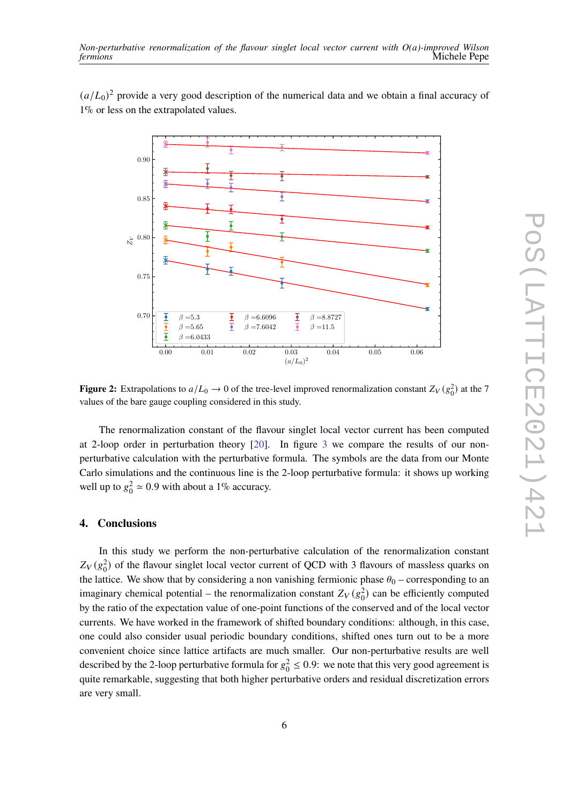$(a/L_0)^2$  provide a very good description of the numerical data and we obtain a final accuracy of 1% or less on the extrapolated values.

<span id="page-5-0"></span>

**Figure 2:** Extrapolations to  $a/L_0 \rightarrow 0$  of the tree-level improved renormalization constant  $Z_V(g_0^2)$  at the 7 values of the bare gauge coupling considered in this study.

The renormalization constant of the flavour singlet local vector current has been computed at 2-loop order in perturbation theory [\[20\]](#page-7-16). In figure [3](#page-6-3) we compare the results of our nonperturbative calculation with the perturbative formula. The symbols are the data from our Monte Carlo simulations and the continuous line is the 2-loop perturbative formula: it shows up working well up to  $g_0^2 \approx 0.9$  with about a 1% accuracy.

#### **4. Conclusions**

In this study we perform the non-perturbative calculation of the renormalization constant  $Z_V(g_0^2)$  of the flavour singlet local vector current of QCD with 3 flavours of massless quarks on the lattice. We show that by considering a non vanishing fermionic phase  $\theta_0$  – corresponding to an imaginary chemical potential – the renormalization constant  $Z_V(g_0^2)$  can be efficiently computed by the ratio of the expectation value of one-point functions of the conserved and of the local vector currents. We have worked in the framework of shifted boundary conditions: although, in this case, one could also consider usual periodic boundary conditions, shifted ones turn out to be a more convenient choice since lattice artifacts are much smaller. Our non-perturbative results are well described by the 2-loop perturbative formula for  $g_0^2 \le 0.9$ : we note that this very good agreement is quite remarkable, suggesting that both higher perturbative orders and residual discretization errors are very small.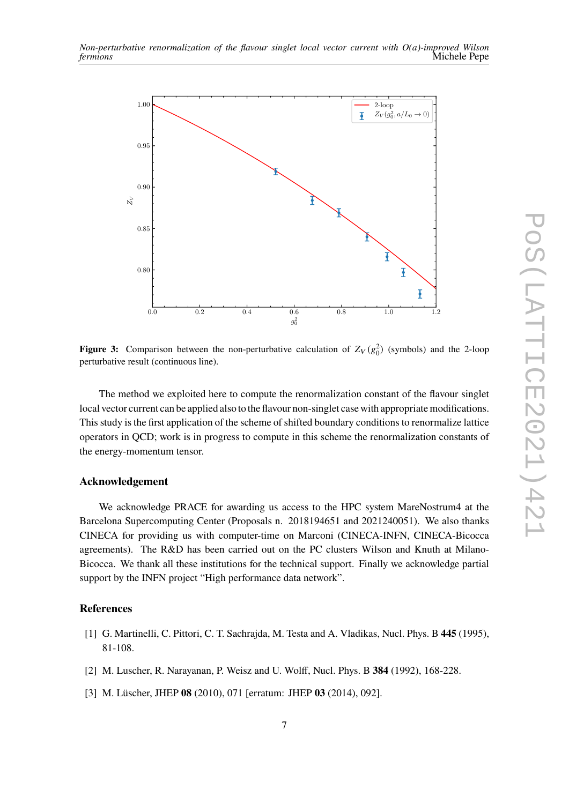<span id="page-6-3"></span>

**Figure 3:** Comparison between the non-perturbative calculation of  $Z_V(g_0^2)$  (symbols) and the 2-loop perturbative result (continuous line).

The method we exploited here to compute the renormalization constant of the flavour singlet local vector current can be applied also to the flavour non-singlet case with appropriate modifications. This study is the first application of the scheme of shifted boundary conditions to renormalize lattice operators in QCD; work is in progress to compute in this scheme the renormalization constants of the energy-momentum tensor.

## **Acknowledgement**

We acknowledge PRACE for awarding us access to the HPC system MareNostrum4 at the Barcelona Supercomputing Center (Proposals n. 2018194651 and 2021240051). We also thanks CINECA for providing us with computer-time on Marconi (CINECA-INFN, CINECA-Bicocca agreements). The R&D has been carried out on the PC clusters Wilson and Knuth at Milano-Bicocca. We thank all these institutions for the technical support. Finally we acknowledge partial support by the INFN project "High performance data network".

## **References**

- <span id="page-6-0"></span>[1] G. Martinelli, C. Pittori, C. T. Sachrajda, M. Testa and A. Vladikas, Nucl. Phys. B **445** (1995), 81-108.
- <span id="page-6-1"></span>[2] M. Luscher, R. Narayanan, P. Weisz and U. Wolff, Nucl. Phys. B **384** (1992), 168-228.
- <span id="page-6-2"></span>[3] M. Lüscher, JHEP **08** (2010), 071 [erratum: JHEP **03** (2014), 092].